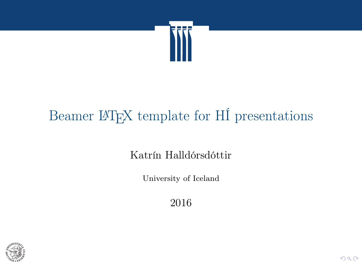

## Beamer LATEX template for HÍ presentations

Katrín Halldórsdóttir

University of Iceland

2016

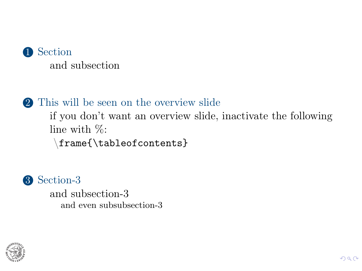

#### 2 [This will be seen on the overview slide](#page-5-0)

[if you don't want an overview slide, inactivate the following](#page-5-0) [line with %:](#page-5-0)

\[frame{\tableofcontents}](#page-5-0)



[and subsection-3](#page-5-0) [and even subsubsection-3](#page-5-0)

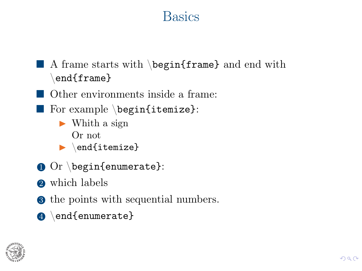### **Basics**

- <span id="page-2-0"></span> $\blacksquare$  A frame starts with \begin{frame} and end with  $\text{end}\{\text{frame}\}$
- Other environments inside a frame:
- $\blacksquare$  For example \begin{itemize}:
	- $\blacktriangleright$  Whith a sign Or not
	- $\blacktriangleright$  \end{itemize}
- $\bullet$  Or \begin{enumerate}:
- 2 which labels
- **3** the points with sequential numbers.
- 4 \end{enumerate}

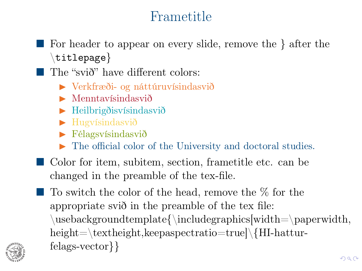### Frametitle

- For header to appear on every slide, remove the } after the  $\left\{ \text{titlepage} \right\}$
- $\blacksquare$  The "svið" have different colors:
	- $\triangleright$  Verkfræði- og náttúruvísindasvið
	- $\blacktriangleright$  Menntavísindasvið
	- $\blacktriangleright$  Heilbrigðisvísindasvið
	- $\blacktriangleright$  Hugvísindasvið
	- $\blacktriangleright$  Félagsvísindasvið
	- The official color of the University and doctoral studies.
- Color for item, subitem, section, frametitle etc. can be changed in the preamble of the tex-file.
- $\blacksquare$  To switch the color of the head, remove the  $\%$  for the appropriate svið in the preamble of the tex file:  $\text{usebackground template}\in\text{while}$  width=\paperwidth, height=\textheight,keepaspectratio=true]\{HI-hatturfelags-vector}}

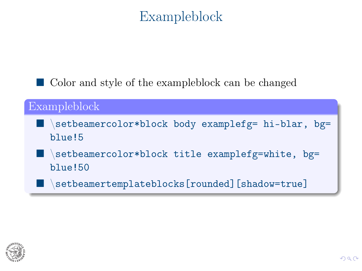### Exampleblock

■ Color and style of the exampleblock can be changed

### Exampleblock \setbeamercolor\*block body examplefg= hi-blar, bg= blue!5 setbeamercolor\*block title examplefg=white, bg= blue!50 setbeamertemplateblocks[rounded][shadow=true]

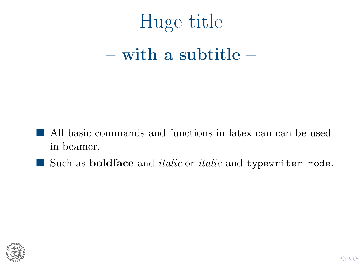# <span id="page-5-0"></span>Huge title  $-$  with a subtitle  $-$

- All basic commands and functions in latex can can be used in beamer.
- $\blacksquare$  Such as boldface and *italic* or *italic* and typewriter mode.

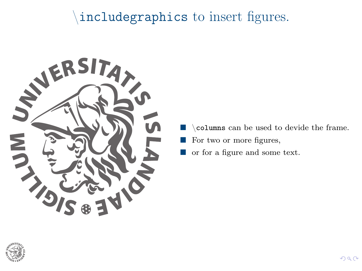### \includegraphics to insert figures.



- \columns can be used to devide the frame.
- For two or more figures,
- or for a figure and some text.

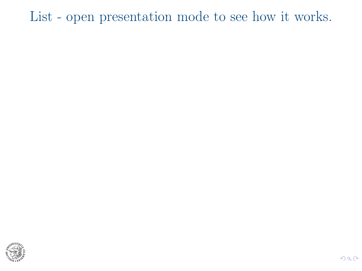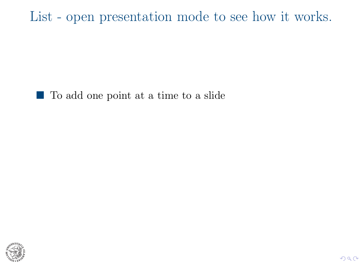■ To add one point at a time to a slide

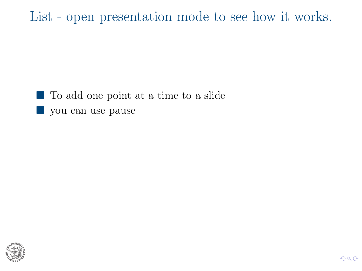■ To add one point at a time to a slide vou can use pause

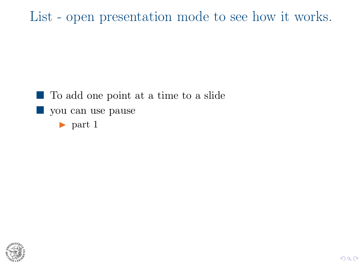■ To add one point at a time to a slide vou can use pause  $\blacktriangleright$  part 1

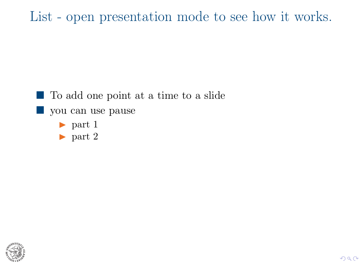■ To add one point at a time to a slide vou can use pause  $\blacktriangleright$  part 1

 $\blacktriangleright$  part 2

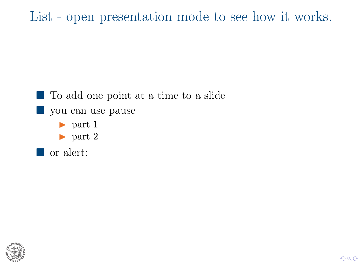■ To add one point at a time to a slide vou can use pause  $\blacktriangleright$  part 1  $\blacktriangleright$  part 2 **T** or alert:

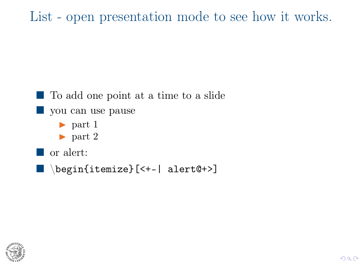```
■ To add one point at a time to a slide
vou can use pause
      \triangleright part 1
      \blacktriangleright part 2
■ or alert:
\blacksquare \begin{itemize}[<+-| alert@+>]
```